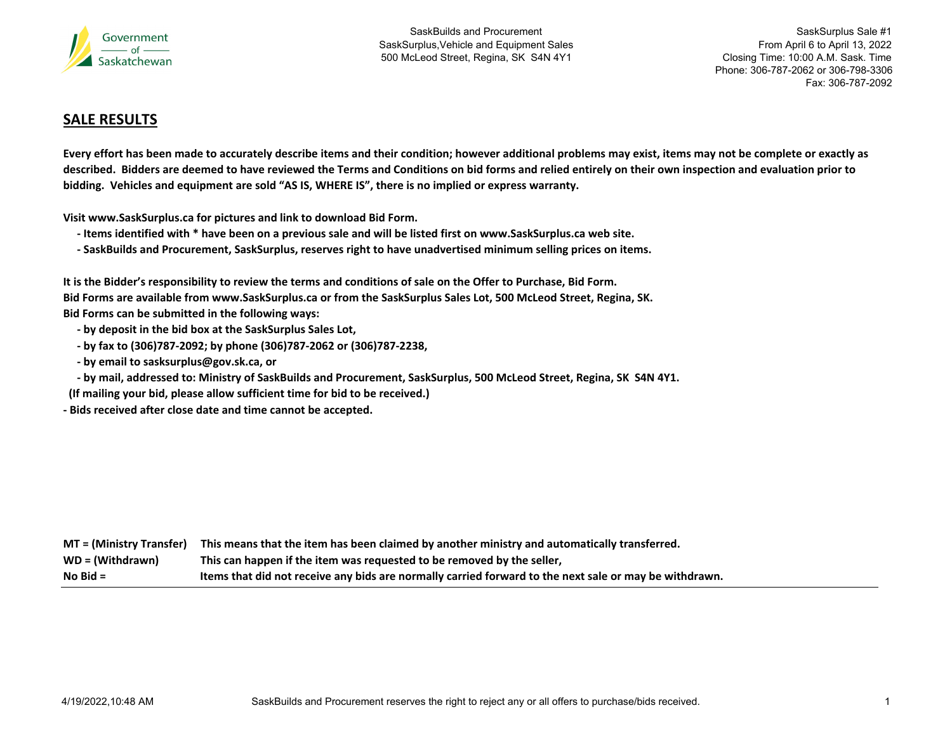

SaskSurplus Sale #1 From April 6 to April 13, 2022 Closing Time: 10:00 A.M. Sask. Time Phone: 306-787-2062 or 306-798-3306Fax: 306-787-2092

## **SALE RESULTS**

Every effort has been made to accurately describe items and their condition; however additional problems may exist, items may not be complete or exactly as described. Bidders are deemed to have reviewed the Terms and Conditions on bid forms and relied entirely on their own inspection and evaluation prior to **bidding. Vehicles and equipment are sold "AS IS, WHERE IS", there is no implied or express warranty.**

**Visit www.SaskSurplus.ca for pictures and link to download Bid Form.**

- Items identified with \* have been on a previous sale and will be listed first on www.SaskSurplus.ca web site.
- SaskBuilds and Procurement, SaskSurplus, reserves right to have unadvertised minimum selling prices on items.

It is the Bidder's responsibility to review the terms and conditions of sale on the Offer to Purchase, Bid Form. Bid Forms are available from www.SaskSurplus.ca or from the SaskSurplus Sales Lot, 500 McLeod Street, Regina, SK. **Bid Forms can be submitted in the following ways:**

- **‐ by deposit in the bid box at the SaskSurplus Sales Lot,**
- **‐ by fax to (306)787‐2092; by phone (306)787‐2062 or (306)787‐2238,**
- **‐ by email to sasksurplus@gov.sk.ca, or**

- by mail, addressed to: Ministry of SaskBuilds and Procurement, SaskSurplus, 500 McLeod Street, Regina, SK S4N 4Y1.

**(If mailing your bid, please allow sufficient time for bid to be received.)**

**‐ Bids received after close date and time cannot be accepted.**

|                   | $MT = (Ministry Transfer)$ This means that the item has been claimed by another ministry and automatically transferred. |
|-------------------|-------------------------------------------------------------------------------------------------------------------------|
| $WD = (Without a$ | This can happen if the item was requested to be removed by the seller,                                                  |
| $No$ Bid $=$      | Items that did not receive any bids are normally carried forward to the next sale or may be withdrawn.                  |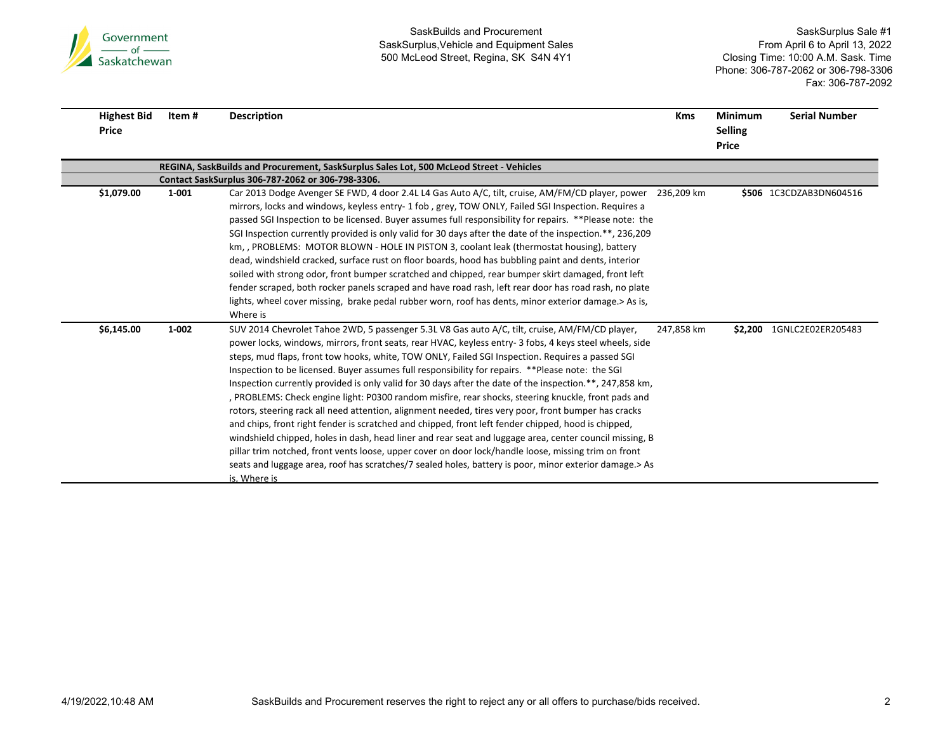

| <b>Highest Bid</b><br>Price | Item# | <b>Description</b>                                                                                                                                                                                                                                                                                                                                                                                                                                                                                                                                                                                                                                                                                                                                                                                                                                                                                                                                                                                                                                                                                                                                                                                | <b>Kms</b> | <b>Minimum</b><br><b>Selling</b><br><b>Price</b> | <b>Serial Number</b>      |
|-----------------------------|-------|---------------------------------------------------------------------------------------------------------------------------------------------------------------------------------------------------------------------------------------------------------------------------------------------------------------------------------------------------------------------------------------------------------------------------------------------------------------------------------------------------------------------------------------------------------------------------------------------------------------------------------------------------------------------------------------------------------------------------------------------------------------------------------------------------------------------------------------------------------------------------------------------------------------------------------------------------------------------------------------------------------------------------------------------------------------------------------------------------------------------------------------------------------------------------------------------------|------------|--------------------------------------------------|---------------------------|
|                             |       | REGINA, SaskBuilds and Procurement, SaskSurplus Sales Lot, 500 McLeod Street - Vehicles                                                                                                                                                                                                                                                                                                                                                                                                                                                                                                                                                                                                                                                                                                                                                                                                                                                                                                                                                                                                                                                                                                           |            |                                                  |                           |
|                             |       | Contact SaskSurplus 306-787-2062 or 306-798-3306.                                                                                                                                                                                                                                                                                                                                                                                                                                                                                                                                                                                                                                                                                                                                                                                                                                                                                                                                                                                                                                                                                                                                                 |            |                                                  |                           |
| \$1,079.00                  | 1-001 | Car 2013 Dodge Avenger SE FWD, 4 door 2.4L L4 Gas Auto A/C, tilt, cruise, AM/FM/CD player, power<br>mirrors, locks and windows, keyless entry-1 fob, grey, TOW ONLY, Failed SGI Inspection. Requires a<br>passed SGI Inspection to be licensed. Buyer assumes full responsibility for repairs. **Please note: the<br>SGI Inspection currently provided is only valid for 30 days after the date of the inspection.**, 236,209<br>km, , PROBLEMS: MOTOR BLOWN - HOLE IN PISTON 3, coolant leak (thermostat housing), battery<br>dead, windshield cracked, surface rust on floor boards, hood has bubbling paint and dents, interior<br>soiled with strong odor, front bumper scratched and chipped, rear bumper skirt damaged, front left<br>fender scraped, both rocker panels scraped and have road rash, left rear door has road rash, no plate<br>lights, wheel cover missing, brake pedal rubber worn, roof has dents, minor exterior damage.> As is,<br>Where is                                                                                                                                                                                                                             | 236.209 km |                                                  | \$506 1C3CDZAB3DN604516   |
| \$6,145.00                  | 1-002 | SUV 2014 Chevrolet Tahoe 2WD, 5 passenger 5.3L V8 Gas auto A/C, tilt, cruise, AM/FM/CD player,<br>power locks, windows, mirrors, front seats, rear HVAC, keyless entry- 3 fobs, 4 keys steel wheels, side<br>steps, mud flaps, front tow hooks, white, TOW ONLY, Failed SGI Inspection. Requires a passed SGI<br>Inspection to be licensed. Buyer assumes full responsibility for repairs. **Please note: the SGI<br>Inspection currently provided is only valid for 30 days after the date of the inspection.**, 247,858 km,<br>, PROBLEMS: Check engine light: P0300 random misfire, rear shocks, steering knuckle, front pads and<br>rotors, steering rack all need attention, alignment needed, tires very poor, front bumper has cracks<br>and chips, front right fender is scratched and chipped, front left fender chipped, hood is chipped,<br>windshield chipped, holes in dash, head liner and rear seat and luggage area, center council missing, B<br>pillar trim notched, front vents loose, upper cover on door lock/handle loose, missing trim on front<br>seats and luggage area, roof has scratches/7 sealed holes, battery is poor, minor exterior damage. > As<br>is, Where is | 247,858 km |                                                  | \$2,200 1GNLC2E02ER205483 |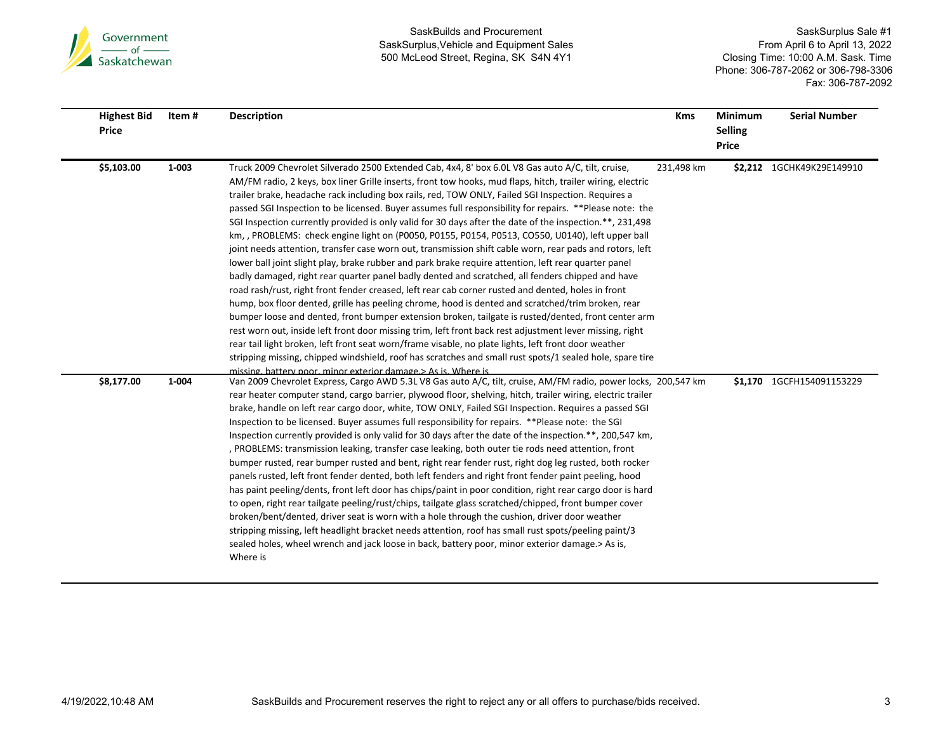

É

Ē.

SaskBuilds and Procurement SaskSurplus,Vehicle and Equipment Sales 500 McLeod Street, Regina, SK S4N 4Y1

| Price | <b>Highest Bid</b> | Item# | <b>Description</b>                                                                                                                                                                                                                                                                                                                                                                                                                                                                                                                                                                                                                                                                                                                                                                                                                                                                                                                                                                                                                                                                                                                                                                                                                                                                                                                                                                                                                                                                                                                                                                                                          | <b>Kms</b> | <b>Minimum</b><br><b>Selling</b><br><b>Price</b> | <b>Serial Number</b>      |
|-------|--------------------|-------|-----------------------------------------------------------------------------------------------------------------------------------------------------------------------------------------------------------------------------------------------------------------------------------------------------------------------------------------------------------------------------------------------------------------------------------------------------------------------------------------------------------------------------------------------------------------------------------------------------------------------------------------------------------------------------------------------------------------------------------------------------------------------------------------------------------------------------------------------------------------------------------------------------------------------------------------------------------------------------------------------------------------------------------------------------------------------------------------------------------------------------------------------------------------------------------------------------------------------------------------------------------------------------------------------------------------------------------------------------------------------------------------------------------------------------------------------------------------------------------------------------------------------------------------------------------------------------------------------------------------------------|------------|--------------------------------------------------|---------------------------|
|       | \$5,103.00         | 1-003 | Truck 2009 Chevrolet Silverado 2500 Extended Cab, 4x4, 8' box 6.0L V8 Gas auto A/C, tilt, cruise,<br>AM/FM radio, 2 keys, box liner Grille inserts, front tow hooks, mud flaps, hitch, trailer wiring, electric<br>trailer brake, headache rack including box rails, red, TOW ONLY, Failed SGI Inspection. Requires a<br>passed SGI Inspection to be licensed. Buyer assumes full responsibility for repairs. **Please note: the<br>SGI Inspection currently provided is only valid for 30 days after the date of the inspection.**, 231,498<br>km, , PROBLEMS: check engine light on (P0050, P0155, P0154, P0513, CO550, U0140), left upper ball<br>joint needs attention, transfer case worn out, transmission shift cable worn, rear pads and rotors, left<br>lower ball joint slight play, brake rubber and park brake require attention, left rear quarter panel<br>badly damaged, right rear quarter panel badly dented and scratched, all fenders chipped and have<br>road rash/rust, right front fender creased, left rear cab corner rusted and dented, holes in front<br>hump, box floor dented, grille has peeling chrome, hood is dented and scratched/trim broken, rear<br>bumper loose and dented, front bumper extension broken, tailgate is rusted/dented, front center arm<br>rest worn out, inside left front door missing trim, left front back rest adjustment lever missing, right<br>rear tail light broken, left front seat worn/frame visable, no plate lights, left front door weather<br>stripping missing, chipped windshield, roof has scratches and small rust spots/1 sealed hole, spare tire | 231,498 km |                                                  | \$2,212 1GCHK49K29E149910 |
|       | \$8,177.00         | 1-004 | missing, battery poor, minor exterior damage.> As is, Where is<br>Van 2009 Chevrolet Express, Cargo AWD 5.3L V8 Gas auto A/C, tilt, cruise, AM/FM radio, power locks, 200,547 km<br>rear heater computer stand, cargo barrier, plywood floor, shelving, hitch, trailer wiring, electric trailer<br>brake, handle on left rear cargo door, white, TOW ONLY, Failed SGI Inspection. Requires a passed SGI<br>Inspection to be licensed. Buyer assumes full responsibility for repairs. **Please note: the SGI<br>Inspection currently provided is only valid for 30 days after the date of the inspection.**, 200,547 km,<br>, PROBLEMS: transmission leaking, transfer case leaking, both outer tie rods need attention, front<br>bumper rusted, rear bumper rusted and bent, right rear fender rust, right dog leg rusted, both rocker<br>panels rusted, left front fender dented, both left fenders and right front fender paint peeling, hood<br>has paint peeling/dents, front left door has chips/paint in poor condition, right rear cargo door is hard<br>to open, right rear tailgate peeling/rust/chips, tailgate glass scratched/chipped, front bumper cover<br>broken/bent/dented, driver seat is worn with a hole through the cushion, driver door weather<br>stripping missing, left headlight bracket needs attention, roof has small rust spots/peeling paint/3<br>sealed holes, wheel wrench and jack loose in back, battery poor, minor exterior damage.> As is,<br>Where is                                                                                                                                |            | \$1,170                                          | 1GCFH154091153229         |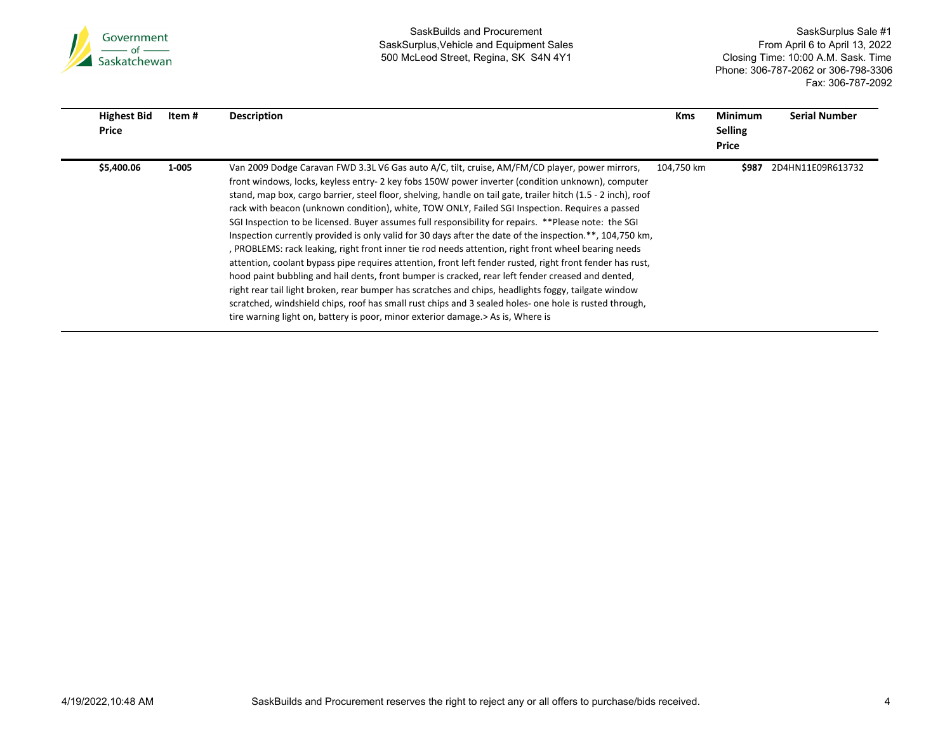

É

SaskBuilds and Procurement SaskSurplus,Vehicle and Equipment Sales 500 McLeod Street, Regina, SK S4N 4Y1

| <b>Highest Bid</b><br>Price | Item # | <b>Description</b>                                                                                                                                                                                                                                                                                                                                                                                                                                                                                                                                                                                                                                                                                                                                                                                                                                                                                                                                                                                                                                                                                                                                                                                                                                                          | <b>Kms</b> | Minimum<br><b>Selling</b><br>Price | <b>Serial Number</b> |
|-----------------------------|--------|-----------------------------------------------------------------------------------------------------------------------------------------------------------------------------------------------------------------------------------------------------------------------------------------------------------------------------------------------------------------------------------------------------------------------------------------------------------------------------------------------------------------------------------------------------------------------------------------------------------------------------------------------------------------------------------------------------------------------------------------------------------------------------------------------------------------------------------------------------------------------------------------------------------------------------------------------------------------------------------------------------------------------------------------------------------------------------------------------------------------------------------------------------------------------------------------------------------------------------------------------------------------------------|------------|------------------------------------|----------------------|
| \$5,400.06                  | 1-005  | Van 2009 Dodge Caravan FWD 3.3L V6 Gas auto A/C, tilt, cruise, AM/FM/CD player, power mirrors,<br>front windows, locks, keyless entry- 2 key fobs 150W power inverter (condition unknown), computer<br>stand, map box, cargo barrier, steel floor, shelving, handle on tail gate, trailer hitch (1.5 - 2 inch), roof<br>rack with beacon (unknown condition), white, TOW ONLY, Failed SGI Inspection. Requires a passed<br>SGI Inspection to be licensed. Buyer assumes full responsibility for repairs. **Please note: the SGI<br>Inspection currently provided is only valid for 30 days after the date of the inspection.**, 104,750 km,<br>, PROBLEMS: rack leaking, right front inner tie rod needs attention, right front wheel bearing needs<br>attention, coolant bypass pipe requires attention, front left fender rusted, right front fender has rust,<br>hood paint bubbling and hail dents, front bumper is cracked, rear left fender creased and dented,<br>right rear tail light broken, rear bumper has scratches and chips, headlights foggy, tailgate window<br>scratched, windshield chips, roof has small rust chips and 3 sealed holes- one hole is rusted through,<br>tire warning light on, battery is poor, minor exterior damage. > As is, Where is | 104.750 km | \$987                              | 2D4HN11E09R613732    |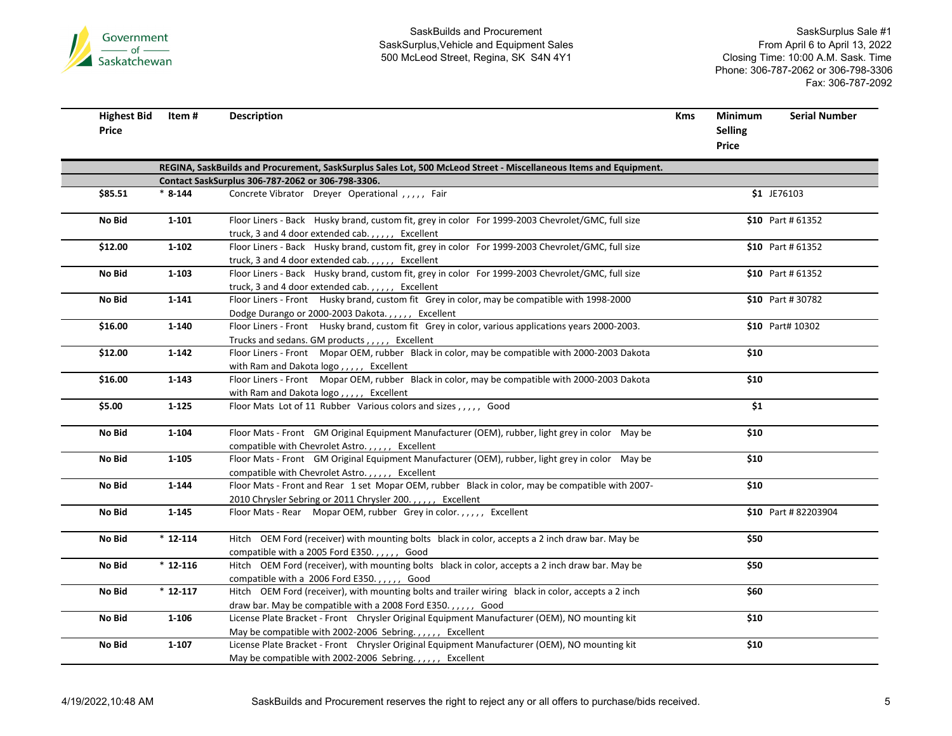

| <b>Highest Bid</b><br>Price | ltem #    | <b>Description</b>                                                                                                                                 | Kms | Minimum<br><b>Selling</b><br>Price | <b>Serial Number</b> |
|-----------------------------|-----------|----------------------------------------------------------------------------------------------------------------------------------------------------|-----|------------------------------------|----------------------|
|                             |           | REGINA, SaskBuilds and Procurement, SaskSurplus Sales Lot, 500 McLeod Street - Miscellaneous Items and Equipment.                                  |     |                                    |                      |
|                             |           | Contact SaskSurplus 306-787-2062 or 306-798-3306.                                                                                                  |     |                                    |                      |
| \$85.51                     | $* 8-144$ | Concrete Vibrator Dreyer Operational , , , , , Fair                                                                                                |     |                                    | \$1 JE76103          |
| No Bid                      | $1 - 101$ | Floor Liners - Back Husky brand, custom fit, grey in color For 1999-2003 Chevrolet/GMC, full size                                                  |     |                                    | \$10 Part #61352     |
|                             |           | truck, 3 and 4 door extended cab.,,,,, Excellent                                                                                                   |     |                                    |                      |
| \$12.00                     | $1 - 102$ | Floor Liners - Back Husky brand, custom fit, grey in color For 1999-2003 Chevrolet/GMC, full size                                                  |     |                                    | \$10 Part # 61352    |
|                             |           | truck, 3 and 4 door extended cab.,,,,, Excellent                                                                                                   |     |                                    |                      |
| No Bid                      | 1-103     | Floor Liners - Back Husky brand, custom fit, grey in color For 1999-2003 Chevrolet/GMC, full size                                                  |     |                                    | \$10 Part # 61352    |
|                             |           | truck, 3 and 4 door extended cab.,,,,, Excellent                                                                                                   |     |                                    |                      |
| No Bid                      | $1 - 141$ | Floor Liners - Front Husky brand, custom fit Grey in color, may be compatible with 1998-2000                                                       |     |                                    | \$10 Part # 30782    |
| \$16.00                     | 1-140     | Dodge Durango or 2000-2003 Dakota.,,,,, Excellent                                                                                                  |     |                                    | \$10 Part# 10302     |
|                             |           | Floor Liners - Front Husky brand, custom fit Grey in color, various applications years 2000-2003.<br>Trucks and sedans. GM products,,,,, Excellent |     |                                    |                      |
| \$12.00                     | $1 - 142$ | Floor Liners - Front Mopar OEM, rubber Black in color, may be compatible with 2000-2003 Dakota                                                     |     | \$10                               |                      |
|                             |           | with Ram and Dakota logo,,,,, Excellent                                                                                                            |     |                                    |                      |
| \$16.00                     | $1 - 143$ | Floor Liners - Front Mopar OEM, rubber Black in color, may be compatible with 2000-2003 Dakota                                                     |     | \$10                               |                      |
|                             |           | with Ram and Dakota logo,,,,, Excellent                                                                                                            |     |                                    |                      |
| \$5.00                      | $1 - 125$ | Floor Mats Lot of 11 Rubber Various colors and sizes,,,,, Good                                                                                     |     | \$1                                |                      |
| No Bid                      | 1-104     | Floor Mats - Front GM Original Equipment Manufacturer (OEM), rubber, light grey in color May be                                                    |     | \$10                               |                      |
|                             |           | compatible with Chevrolet Astro.,,,,, Excellent                                                                                                    |     |                                    |                      |
| No Bid                      | $1 - 105$ | Floor Mats - Front GM Original Equipment Manufacturer (OEM), rubber, light grey in color May be                                                    |     | \$10                               |                      |
|                             |           | compatible with Chevrolet Astro.,,,,, Excellent                                                                                                    |     |                                    |                      |
| No Bid                      | 1-144     | Floor Mats - Front and Rear 1 set Mopar OEM, rubber Black in color, may be compatible with 2007-                                                   |     | \$10                               |                      |
|                             |           | 2010 Chrysler Sebring or 2011 Chrysler 200.,,,,, Excellent                                                                                         |     |                                    |                      |
| No Bid                      | $1 - 145$ | Floor Mats - Rear Mopar OEM, rubber Grey in color.,,,,, Excellent                                                                                  |     |                                    | \$10 Part #82203904  |
| No Bid                      | $*12-114$ | Hitch OEM Ford (receiver) with mounting bolts black in color, accepts a 2 inch draw bar. May be                                                    |     | \$50                               |                      |
|                             |           | compatible with a 2005 Ford E350.,,,,, Good                                                                                                        |     |                                    |                      |
| No Bid                      | $*12-116$ | Hitch OEM Ford (receiver), with mounting bolts black in color, accepts a 2 inch draw bar. May be                                                   |     | \$50                               |                      |
|                             |           | compatible with a 2006 Ford E350.,,,,, Good                                                                                                        |     |                                    |                      |
| No Bid                      | $*12-117$ | Hitch OEM Ford (receiver), with mounting bolts and trailer wiring black in color, accepts a 2 inch                                                 |     | \$60                               |                      |
|                             |           | draw bar. May be compatible with a 2008 Ford E350.,,,,, Good                                                                                       |     |                                    |                      |
| No Bid                      | 1-106     | License Plate Bracket - Front Chrysler Original Equipment Manufacturer (OEM), NO mounting kit                                                      |     | \$10                               |                      |
|                             |           | May be compatible with 2002-2006 Sebring.,,,,, Excellent                                                                                           |     |                                    |                      |
| No Bid                      | $1 - 107$ | License Plate Bracket - Front Chrysler Original Equipment Manufacturer (OEM), NO mounting kit                                                      |     | \$10                               |                      |
|                             |           | May be compatible with 2002-2006 Sebring.,,,,, Excellent                                                                                           |     |                                    |                      |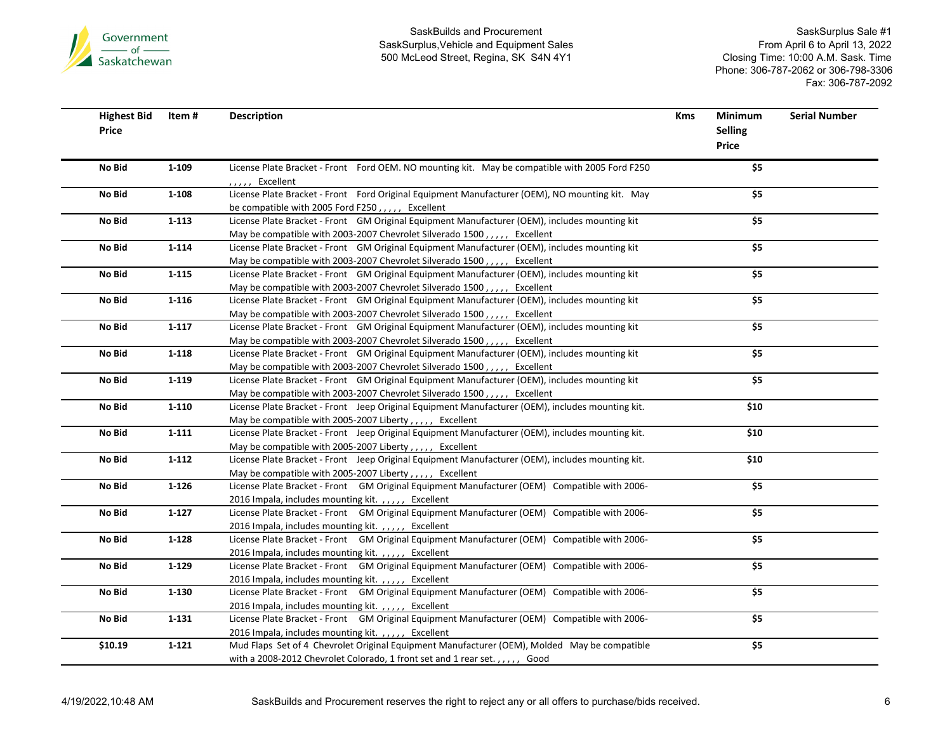

| <b>Highest Bid</b><br>Price | Item #    | <b>Description</b>                                                                                                                                 | Kms | Minimum<br><b>Selling</b> | <b>Serial Number</b> |
|-----------------------------|-----------|----------------------------------------------------------------------------------------------------------------------------------------------------|-----|---------------------------|----------------------|
|                             |           |                                                                                                                                                    |     | Price                     |                      |
| No Bid                      | 1-109     | License Plate Bracket - Front Ford OEM. NO mounting kit. May be compatible with 2005 Ford F250<br>,,,,, Excellent                                  |     | \$5                       |                      |
| No Bid                      | $1 - 108$ | License Plate Bracket - Front Ford Original Equipment Manufacturer (OEM), NO mounting kit. May                                                     |     | \$5                       |                      |
|                             |           | be compatible with 2005 Ford F250,,,,, Excellent                                                                                                   |     |                           |                      |
| No Bid                      | $1 - 113$ | License Plate Bracket - Front GM Original Equipment Manufacturer (OEM), includes mounting kit                                                      |     | \$5                       |                      |
|                             |           | May be compatible with 2003-2007 Chevrolet Silverado 1500,,,,, Excellent                                                                           |     |                           |                      |
| No Bid                      | $1 - 114$ | License Plate Bracket - Front GM Original Equipment Manufacturer (OEM), includes mounting kit                                                      |     | \$5                       |                      |
|                             |           | May be compatible with 2003-2007 Chevrolet Silverado 1500,,,,, Excellent                                                                           |     |                           |                      |
| No Bid                      | $1 - 115$ | License Plate Bracket - Front GM Original Equipment Manufacturer (OEM), includes mounting kit                                                      |     | \$5                       |                      |
|                             |           | May be compatible with 2003-2007 Chevrolet Silverado 1500,,,,, Excellent                                                                           |     |                           |                      |
| No Bid                      | 1-116     | License Plate Bracket - Front GM Original Equipment Manufacturer (OEM), includes mounting kit                                                      |     | $\overline{\$5}$          |                      |
|                             |           | May be compatible with 2003-2007 Chevrolet Silverado 1500,,,,, Excellent                                                                           |     |                           |                      |
| No Bid                      | $1 - 117$ | License Plate Bracket - Front GM Original Equipment Manufacturer (OEM), includes mounting kit                                                      |     | \$5                       |                      |
|                             |           | May be compatible with 2003-2007 Chevrolet Silverado 1500,,,,, Excellent                                                                           |     |                           |                      |
| No Bid                      | $1 - 118$ | License Plate Bracket - Front GM Original Equipment Manufacturer (OEM), includes mounting kit                                                      |     | \$5                       |                      |
|                             |           | May be compatible with 2003-2007 Chevrolet Silverado 1500,,,,, Excellent                                                                           |     |                           |                      |
| No Bid                      | 1-119     | License Plate Bracket - Front GM Original Equipment Manufacturer (OEM), includes mounting kit                                                      |     | \$5                       |                      |
|                             |           | May be compatible with 2003-2007 Chevrolet Silverado 1500,,,,, Excellent                                                                           |     |                           |                      |
| No Bid                      | $1 - 110$ | License Plate Bracket - Front Jeep Original Equipment Manufacturer (OEM), includes mounting kit.                                                   |     | \$10                      |                      |
|                             |           | May be compatible with 2005-2007 Liberty,,,,, Excellent                                                                                            |     |                           |                      |
| No Bid                      | $1 - 111$ | License Plate Bracket - Front Jeep Original Equipment Manufacturer (OEM), includes mounting kit.                                                   |     | \$10                      |                      |
|                             |           | May be compatible with 2005-2007 Liberty,,,,, Excellent                                                                                            |     |                           |                      |
| No Bid                      | $1 - 112$ | License Plate Bracket - Front Jeep Original Equipment Manufacturer (OEM), includes mounting kit.                                                   |     | \$10                      |                      |
|                             |           | May be compatible with 2005-2007 Liberty,,,,, Excellent                                                                                            |     |                           |                      |
| No Bid                      | $1 - 126$ | License Plate Bracket - Front GM Original Equipment Manufacturer (OEM) Compatible with 2006-                                                       |     | $\overline{\$5}$          |                      |
|                             |           | 2016 Impala, includes mounting kit.,,,,, Excellent                                                                                                 |     |                           |                      |
| No Bid                      | $1 - 127$ | License Plate Bracket - Front GM Original Equipment Manufacturer (OEM) Compatible with 2006-                                                       |     | \$5                       |                      |
|                             |           | 2016 Impala, includes mounting kit.,,,,, Excellent                                                                                                 |     |                           |                      |
| No Bid                      | $1 - 128$ | License Plate Bracket - Front GM Original Equipment Manufacturer (OEM) Compatible with 2006-                                                       |     | $\overline{\$5}$          |                      |
|                             |           | 2016 Impala, includes mounting kit.,,,,, Excellent                                                                                                 |     |                           |                      |
| No Bid                      | 1-129     | License Plate Bracket - Front GM Original Equipment Manufacturer (OEM) Compatible with 2006-                                                       |     | \$5                       |                      |
|                             |           | 2016 Impala, includes mounting kit.,,,,, Excellent                                                                                                 |     |                           |                      |
| No Bid                      | $1 - 130$ | License Plate Bracket - Front GM Original Equipment Manufacturer (OEM) Compatible with 2006-                                                       |     | \$5                       |                      |
|                             |           | 2016 Impala, includes mounting kit.,,,,, Excellent                                                                                                 |     |                           |                      |
| No Bid                      | $1 - 131$ | License Plate Bracket - Front GM Original Equipment Manufacturer (OEM) Compatible with 2006-                                                       |     | \$5                       |                      |
|                             |           | 2016 Impala, includes mounting kit.,,,,, Excellent<br>Mud Flaps Set of 4 Chevrolet Original Equipment Manufacturer (OEM), Molded May be compatible |     | \$5                       |                      |
| \$10.19                     | $1 - 121$ |                                                                                                                                                    |     |                           |                      |
|                             |           | with a 2008-2012 Chevrolet Colorado, 1 front set and 1 rear set.,,,,, Good                                                                         |     |                           |                      |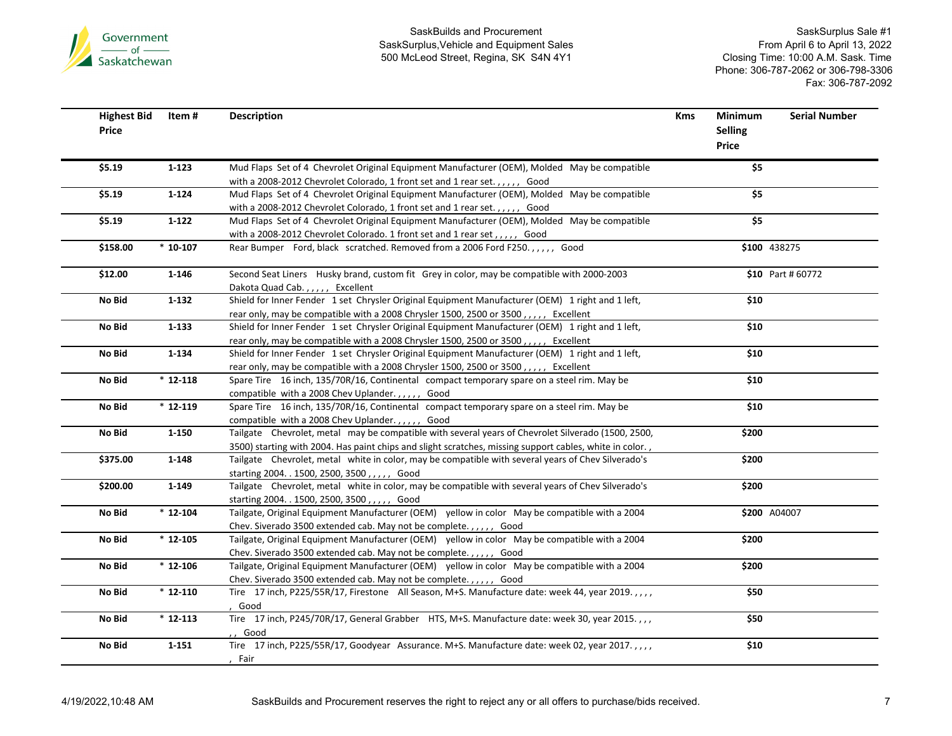

| <b>Highest Bid</b><br>Price | Item#                 | <b>Description</b>                                                                                                                                                                                             | <b>Kms</b> | Minimum<br><b>Selling</b><br>Price | <b>Serial Number</b> |
|-----------------------------|-----------------------|----------------------------------------------------------------------------------------------------------------------------------------------------------------------------------------------------------------|------------|------------------------------------|----------------------|
| \$5.19                      | $1 - 123$             | Mud Flaps Set of 4 Chevrolet Original Equipment Manufacturer (OEM), Molded May be compatible<br>with a 2008-2012 Chevrolet Colorado, 1 front set and 1 rear set.,,,,, Good                                     |            | \$5                                |                      |
| \$5.19                      | $1 - 124$             | Mud Flaps Set of 4 Chevrolet Original Equipment Manufacturer (OEM), Molded May be compatible<br>with a 2008-2012 Chevrolet Colorado, 1 front set and 1 rear set.,,,,, Good                                     |            | \$5                                |                      |
| \$5.19                      | $1 - 122$             | Mud Flaps Set of 4 Chevrolet Original Equipment Manufacturer (OEM), Molded May be compatible<br>with a 2008-2012 Chevrolet Colorado. 1 front set and 1 rear set,,,,, Good                                      |            | \$5                                |                      |
| \$158.00                    | $*10-107$             | Rear Bumper Ford, black scratched. Removed from a 2006 Ford F250.,,,,, Good                                                                                                                                    |            |                                    | \$100 438275         |
| \$12.00                     | 1-146                 | Second Seat Liners Husky brand, custom fit Grey in color, may be compatible with 2000-2003<br>Dakota Quad Cab.,,,,, Excellent                                                                                  |            |                                    | \$10 Part #60772     |
| No Bid                      | $1 - 132$             | Shield for Inner Fender 1 set Chrysler Original Equipment Manufacturer (OEM) 1 right and 1 left,<br>rear only, may be compatible with a 2008 Chrysler 1500, 2500 or 3500,,,,, Excellent                        |            | \$10                               |                      |
| No Bid                      | $1 - 133$             | Shield for Inner Fender 1 set Chrysler Original Equipment Manufacturer (OEM) 1 right and 1 left,<br>rear only, may be compatible with a 2008 Chrysler 1500, 2500 or 3500,,,,, Excellent                        |            | \$10                               |                      |
| No Bid                      | $1 - 134$             | Shield for Inner Fender 1 set Chrysler Original Equipment Manufacturer (OEM) 1 right and 1 left,<br>rear only, may be compatible with a 2008 Chrysler 1500, 2500 or 3500,,,,, Excellent                        |            | \$10                               |                      |
| No Bid                      | $*12-118$             | Spare Tire 16 inch, 135/70R/16, Continental compact temporary spare on a steel rim. May be<br>compatible with a 2008 Chev Uplander.,,,,, Good                                                                  |            | \$10                               |                      |
| No Bid                      | $*12-119$             | Spare Tire 16 inch, 135/70R/16, Continental compact temporary spare on a steel rim. May be<br>compatible with a 2008 Chev Uplander.,,,,, Good                                                                  |            | \$10                               |                      |
| No Bid                      | $1 - 150$             | Tailgate Chevrolet, metal may be compatible with several years of Chevrolet Silverado (1500, 2500,<br>3500) starting with 2004. Has paint chips and slight scratches, missing support cables, white in color., |            | \$200                              |                      |
| \$375.00                    | $1 - 148$             | Tailgate Chevrolet, metal white in color, may be compatible with several years of Chev Silverado's<br>starting 2004. . 1500, 2500, 3500, ,,,,, Good                                                            |            | \$200                              |                      |
| \$200.00                    | 1-149                 | Tailgate Chevrolet, metal white in color, may be compatible with several years of Chev Silverado's<br>starting 2004. . 1500, 2500, 3500, , , , , Good                                                          |            | \$200                              |                      |
| No Bid                      | $\frac{1}{12}$ 12-104 | Tailgate, Original Equipment Manufacturer (OEM) yellow in color May be compatible with a 2004<br>Chev. Siverado 3500 extended cab. May not be complete.,,,,,, Good                                             |            |                                    | \$200 A04007         |
| No Bid                      | $*12-105$             | Tailgate, Original Equipment Manufacturer (OEM) yellow in color May be compatible with a 2004<br>Chev. Siverado 3500 extended cab. May not be complete.,,,,, Good                                              |            | \$200                              |                      |
| No Bid                      | $*12-106$             | Tailgate, Original Equipment Manufacturer (OEM) yellow in color May be compatible with a 2004<br>Chev. Siverado 3500 extended cab. May not be complete.,,,,,, Good                                             |            | \$200                              |                      |
| No Bid                      | $*12-110$             | Tire 17 inch, P225/55R/17, Firestone All Season, M+S. Manufacture date: week 44, year 2019.,,,,<br>Good                                                                                                        |            | \$50                               |                      |
| No Bid                      | $*12-113$             | Tire 17 inch, P245/70R/17, General Grabber HTS, M+S. Manufacture date: week 30, year 2015.,,,<br>Good                                                                                                          |            | \$50                               |                      |
| No Bid                      | $1 - 151$             | Tire 17 inch, P225/55R/17, Goodyear Assurance. M+S. Manufacture date: week 02, year 2017.,,,,<br>Fair                                                                                                          |            | \$10                               |                      |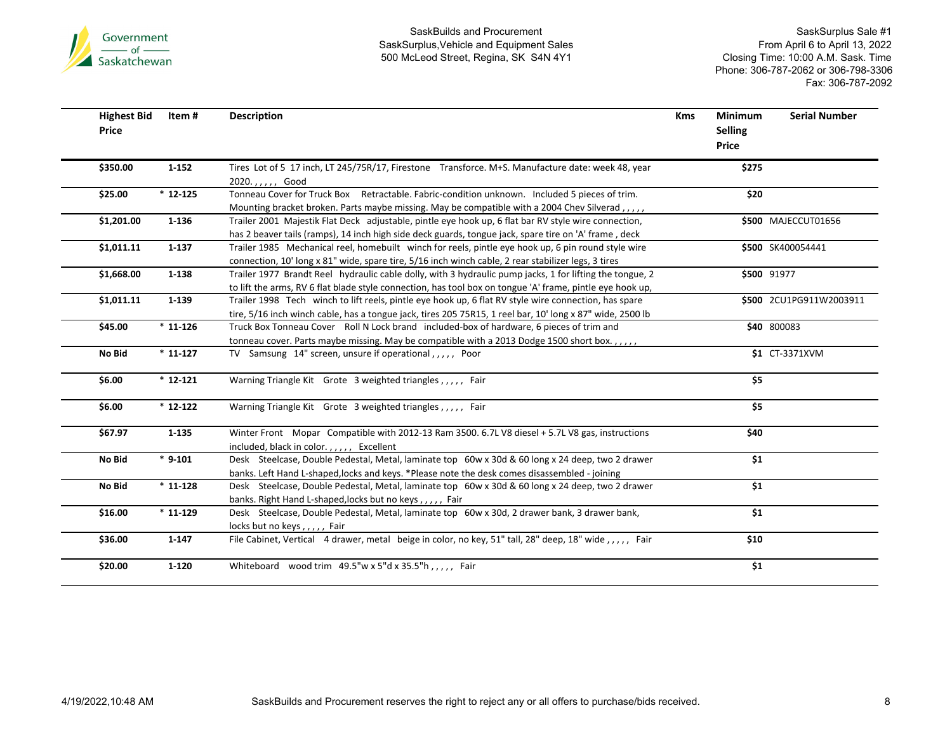

| <b>Highest Bid</b><br>Price | Item #    | <b>Description</b>                                                                                                                                                                                                    | <b>Kms</b> | Minimum<br><b>Selling</b><br>Price | <b>Serial Number</b>              |
|-----------------------------|-----------|-----------------------------------------------------------------------------------------------------------------------------------------------------------------------------------------------------------------------|------------|------------------------------------|-----------------------------------|
| \$350.00                    | $1 - 152$ | Tires Lot of 5 17 inch, LT 245/75R/17, Firestone Transforce. M+S. Manufacture date: week 48, year<br>2020.,,,,, Good                                                                                                  |            | \$275                              |                                   |
| \$25.00                     | $*12-125$ | Tonneau Cover for Truck Box Retractable. Fabric-condition unknown. Included 5 pieces of trim.<br>Mounting bracket broken. Parts maybe missing. May be compatible with a 2004 Chev Silverad,,,,                        |            | \$20                               |                                   |
| \$1,201.00                  | $1 - 136$ | Trailer 2001 Majestik Flat Deck adjustable, pintle eye hook up, 6 flat bar RV style wire connection,<br>has 2 beaver tails (ramps), 14 inch high side deck guards, tongue jack, spare tire on 'A' frame, deck         |            |                                    | \$500 MAJECCUT01656               |
| \$1,011.11                  | $1 - 137$ | Trailer 1985 Mechanical reel, homebuilt winch for reels, pintle eye hook up, 6 pin round style wire<br>connection, 10' long x 81" wide, spare tire, 5/16 inch winch cable, 2 rear stabilizer legs, 3 tires            |            |                                    | \$500 SK400054441                 |
| \$1,668.00                  | 1-138     | Trailer 1977 Brandt Reel hydraulic cable dolly, with 3 hydraulic pump jacks, 1 for lifting the tongue, 2<br>to lift the arms, RV 6 flat blade style connection, has tool box on tongue 'A' frame, pintle eye hook up, |            |                                    | \$500 91977                       |
| \$1,011.11                  | 1-139     | Trailer 1998 Tech winch to lift reels, pintle eye hook up, 6 flat RV style wire connection, has spare<br>tire, 5/16 inch winch cable, has a tongue jack, tires 205 75R15, 1 reel bar, 10' long x 87" wide, 2500 lb    |            |                                    | \$500 2CU1PG911W2003911           |
| \$45.00                     | $*11-126$ | Truck Box Tonneau Cover Roll N Lock brand included-box of hardware, 6 pieces of trim and<br>tonneau cover. Parts maybe missing. May be compatible with a 2013 Dodge 1500 short box.,,,,,                              |            |                                    | \$40 800083                       |
| No Bid                      | $*11-127$ | TV Samsung 14" screen, unsure if operational,,,,, Poor                                                                                                                                                                |            |                                    | $\overline{\text{S1}}$ CT-3371XVM |
| \$6.00                      | $*12-121$ | Warning Triangle Kit Grote 3 weighted triangles,,,,, Fair                                                                                                                                                             |            | \$5                                |                                   |
| \$6.00                      | $*12-122$ | Warning Triangle Kit Grote 3 weighted triangles,,,,, Fair                                                                                                                                                             |            | \$5                                |                                   |
| \$67.97                     | $1 - 135$ | Winter Front Mopar Compatible with 2012-13 Ram 3500. 6.7L V8 diesel + 5.7L V8 gas, instructions<br>included, black in color.,,,,, Excellent                                                                           |            | \$40                               |                                   |
| No Bid                      | $* 9-101$ | Desk Steelcase, Double Pedestal, Metal, laminate top 60w x 30d & 60 long x 24 deep, two 2 drawer<br>banks. Left Hand L-shaped, locks and keys. *Please note the desk comes disassembled - joining                     |            | \$1                                |                                   |
| No Bid                      | $*11-128$ | Desk Steelcase, Double Pedestal, Metal, laminate top 60w x 30d & 60 long x 24 deep, two 2 drawer<br>banks. Right Hand L-shaped, locks but no keys,,,,, Fair                                                           |            | \$1                                |                                   |
| \$16.00                     | $*11-129$ | Desk Steelcase, Double Pedestal, Metal, laminate top 60w x 30d, 2 drawer bank, 3 drawer bank,<br>locks but no keys,,,,,, Fair                                                                                         |            | \$1                                |                                   |
| \$36.00                     | $1 - 147$ | File Cabinet, Vertical 4 drawer, metal beige in color, no key, 51" tall, 28" deep, 18" wide,,,,,, Fair                                                                                                                |            | \$10                               |                                   |
| \$20.00                     | $1 - 120$ | Whiteboard wood trim 49.5"w x 5"d x 35.5"h,,,,, Fair                                                                                                                                                                  |            | \$1                                |                                   |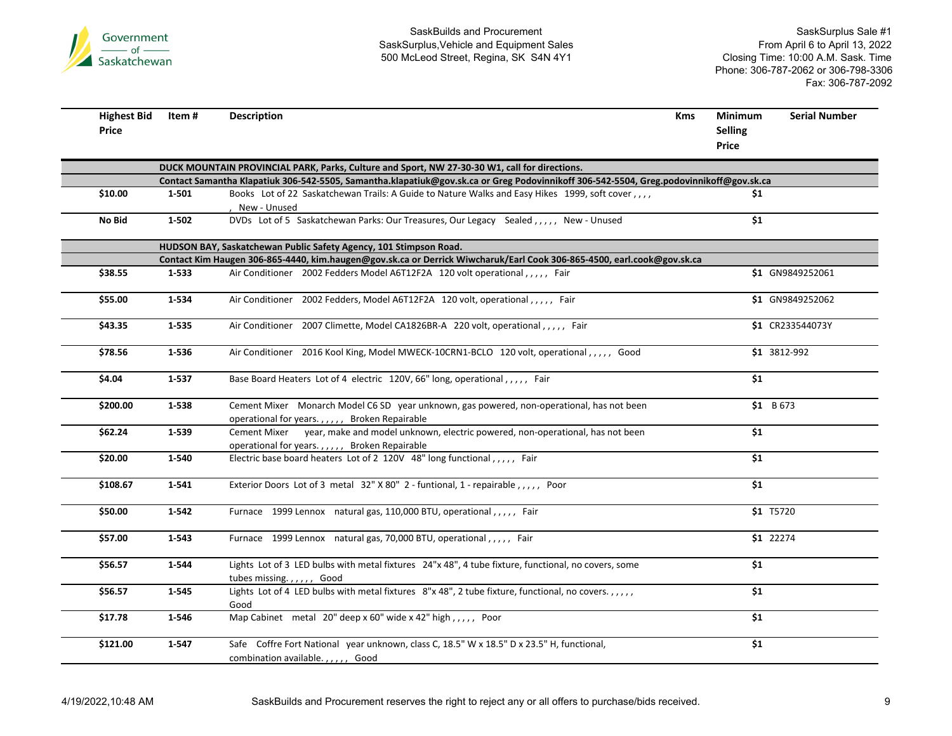

| <b>Highest Bid</b><br><b>Price</b> | Item #    | <b>Description</b>                                                                                                                          | <b>Kms</b> | <b>Minimum</b><br><b>Selling</b><br>Price | <b>Serial Number</b> |
|------------------------------------|-----------|---------------------------------------------------------------------------------------------------------------------------------------------|------------|-------------------------------------------|----------------------|
|                                    |           | DUCK MOUNTAIN PROVINCIAL PARK, Parks, Culture and Sport, NW 27-30-30 W1, call for directions.                                               |            |                                           |                      |
|                                    |           | Contact Samantha Klapatiuk 306-542-5505, Samantha.klapatiuk@gov.sk.ca or Greg Podovinnikoff 306-542-5504, Greg.podovinnikoff@gov.sk.ca      |            |                                           |                      |
| \$10.00                            | 1-501     | Books Lot of 22 Saskatchewan Trails: A Guide to Nature Walks and Easy Hikes 1999, soft cover,,,,<br>New - Unused                            |            | \$1                                       |                      |
| No Bid                             | $1 - 502$ | DVDs Lot of 5 Saskatchewan Parks: Our Treasures, Our Legacy Sealed,,,,, New - Unused                                                        |            | \$1                                       |                      |
|                                    |           | HUDSON BAY, Saskatchewan Public Safety Agency, 101 Stimpson Road.                                                                           |            |                                           |                      |
|                                    |           | Contact Kim Haugen 306-865-4440, kim.haugen@gov.sk.ca or Derrick Wiwcharuk/Earl Cook 306-865-4500, earl.cook@gov.sk.ca                      |            |                                           |                      |
| \$38.55                            | 1-533     | Air Conditioner 2002 Fedders Model A6T12F2A 120 volt operational,,,,, Fair                                                                  |            |                                           | \$1 GN9849252061     |
| \$55.00                            | 1-534     | Air Conditioner 2002 Fedders, Model A6T12F2A 120 volt, operational,,,,, Fair                                                                |            |                                           | \$1 GN9849252062     |
| \$43.35                            | 1-535     | Air Conditioner 2007 Climette, Model CA1826BR-A 220 volt, operational,,,,, Fair                                                             |            |                                           | \$1 CR233544073Y     |
| \$78.56                            | 1-536     | Air Conditioner 2016 Kool King, Model MWECK-10CRN1-BCLO 120 volt, operational,,,,, Good                                                     |            |                                           | \$1 3812-992         |
| \$4.04                             | 1-537     | Base Board Heaters Lot of 4 electric 120V, 66" long, operational,,,,, Fair                                                                  |            | \$1                                       |                      |
| \$200.00                           | 1-538     | Cement Mixer Monarch Model C6 SD year unknown, gas powered, non-operational, has not been<br>operational for years.,,,,, Broken Repairable  |            | \$1 B673                                  |                      |
| \$62.24                            | 1-539     | Cement Mixer year, make and model unknown, electric powered, non-operational, has not been<br>operational for years.,,,,, Broken Repairable |            | \$1                                       |                      |
| \$20.00                            | 1-540     | Electric base board heaters Lot of 2 120V 48" long functional,,,,, Fair                                                                     |            | \$1                                       |                      |
| \$108.67                           | $1 - 541$ | Exterior Doors Lot of 3 metal 32" X 80" 2 - funtional, 1 - repairable,,,,, Poor                                                             |            | \$1                                       |                      |
| \$50.00                            | $1 - 542$ | Furnace 1999 Lennox natural gas, 110,000 BTU, operational,,,,, Fair                                                                         |            | \$1 T5720                                 |                      |
| \$57.00                            | 1-543     | Furnace 1999 Lennox natural gas, 70,000 BTU, operational,,,,, Fair                                                                          |            | \$1 22274                                 |                      |
| \$56.57                            | 1-544     | Lights Lot of 3 LED bulbs with metal fixtures 24"x 48", 4 tube fixture, functional, no covers, some                                         |            | \$1                                       |                      |
| \$56.57                            | 1-545     | tubes missing.,,,,, Good<br>Lights Lot of 4 LED bulbs with metal fixtures 8"x 48", 2 tube fixture, functional, no covers.,,,,,<br>Good      |            | \$1                                       |                      |
| \$17.78                            | 1-546     | Map Cabinet metal 20" deep x 60" wide x 42" high,,,,, Poor                                                                                  |            | \$1                                       |                      |
| \$121.00                           | $1 - 547$ | Safe Coffre Fort National year unknown, class C, 18.5" W x 18.5" D x 23.5" H, functional,<br>combination available.,,,,,, Good              |            | \$1                                       |                      |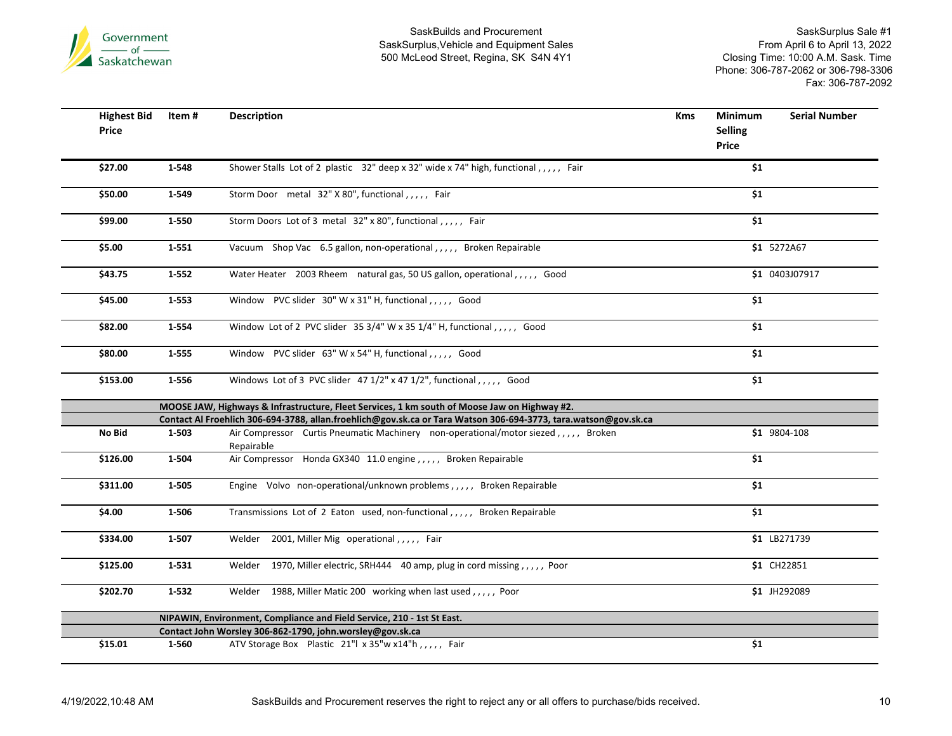

| <b>Highest Bid</b><br>Price | Item #    | <b>Description</b>                                                                                              | <b>Kms</b> | <b>Minimum</b><br><b>Selling</b><br>Price | <b>Serial Number</b> |
|-----------------------------|-----------|-----------------------------------------------------------------------------------------------------------------|------------|-------------------------------------------|----------------------|
| \$27.00                     | 1-548     | Shower Stalls Lot of 2 plastic 32" deep x 32" wide x 74" high, functional,,,,, Fair                             |            | \$1                                       |                      |
| \$50.00                     | 1-549     | Storm Door metal 32" X 80", functional,,,,, Fair                                                                |            | \$1                                       |                      |
| \$99.00                     | 1-550     | Storm Doors Lot of 3 metal 32" x 80", functional,,,,, Fair                                                      |            | \$1                                       |                      |
| \$5.00                      | $1 - 551$ | Vacuum Shop Vac 6.5 gallon, non-operational,,,,, Broken Repairable                                              |            |                                           | \$1 5272A67          |
| \$43.75                     | $1 - 552$ | Water Heater 2003 Rheem natural gas, 50 US gallon, operational,,,,, Good                                        |            |                                           | \$1 0403J07917       |
| \$45.00                     | 1-553     | Window PVC slider 30" W x 31" H, functional,,,,, Good                                                           |            | \$1                                       |                      |
| \$82.00                     | 1-554     | Window Lot of 2 PVC slider 35 3/4" W x 35 1/4" H, functional,,,,, Good                                          |            | \$1                                       |                      |
| \$80.00                     | 1-555     | Window PVC slider 63" W x 54" H, functional,,,,, Good                                                           |            | \$1                                       |                      |
| \$153.00                    | 1-556     | Windows Lot of 3 PVC slider 47 1/2" x 47 1/2", functional,,,,, Good                                             |            | \$1                                       |                      |
|                             |           | MOOSE JAW, Highways & Infrastructure, Fleet Services, 1 km south of Moose Jaw on Highway #2.                    |            |                                           |                      |
|                             |           | Contact Al Froehlich 306-694-3788, allan.froehlich@gov.sk.ca or Tara Watson 306-694-3773, tara.watson@gov.sk.ca |            |                                           |                      |
| No Bid                      | 1-503     | Air Compressor Curtis Pneumatic Machinery non-operational/motor siezed,,,,,, Broken<br>Repairable               |            |                                           | \$1 9804-108         |
| \$126.00                    | 1-504     | Air Compressor Honda GX340 11.0 engine, , , , , Broken Repairable                                               |            | \$1                                       |                      |
| \$311.00                    | 1-505     | Engine Volvo non-operational/unknown problems,,,,, Broken Repairable                                            |            | \$1                                       |                      |
| \$4.00                      | 1-506     | Transmissions Lot of 2 Eaton used, non-functional,,,,, Broken Repairable                                        |            | \$1                                       |                      |
| \$334.00                    | 1-507     | Welder 2001, Miller Mig operational,,,,, Fair                                                                   |            |                                           | \$1 LB271739         |
| \$125.00                    | 1-531     | Welder 1970, Miller electric, SRH444 40 amp, plug in cord missing,,,,,, Poor                                    |            |                                           | \$1 CH22851          |
| \$202.70                    | $1 - 532$ | Welder 1988, Miller Matic 200 working when last used,,,,, Poor                                                  |            |                                           | \$1 JH292089         |
|                             |           | NIPAWIN, Environment, Compliance and Field Service, 210 - 1st St East.                                          |            |                                           |                      |
|                             |           | Contact John Worsley 306-862-1790, john.worsley@gov.sk.ca                                                       |            |                                           |                      |
| \$15.01                     | 1-560     | ATV Storage Box Plastic 21"  x 35"w x14"h,,,,, Fair                                                             |            | \$1                                       |                      |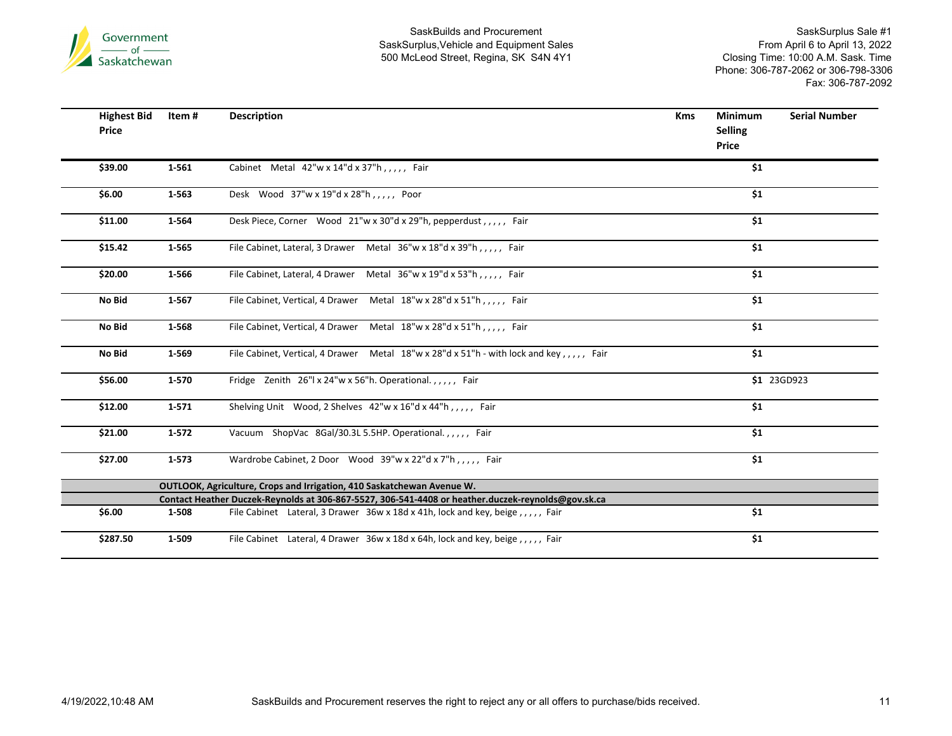

| <b>Highest Bid</b><br>Price | Item#     | <b>Description</b>                                                                                 | <b>Kms</b> | <b>Minimum</b><br><b>Selling</b><br><b>Price</b> | <b>Serial Number</b> |
|-----------------------------|-----------|----------------------------------------------------------------------------------------------------|------------|--------------------------------------------------|----------------------|
| \$39.00                     | 1-561     | Cabinet Metal $42''w \times 14''d \times 37''h$ ,,,,, Fair                                         |            | \$1                                              |                      |
| \$6.00                      | 1-563     | Desk Wood 37"w x 19"d x 28"h,,,,, Poor                                                             |            | \$1                                              |                      |
| \$11.00                     | 1-564     | Desk Piece, Corner Wood 21"w x 30"d x 29"h, pepperdust,,,,, Fair                                   |            | \$1                                              |                      |
| \$15.42                     | 1-565     | File Cabinet, Lateral, 3 Drawer Metal 36"w x 18"d x 39"h,,,,, Fair                                 |            | \$1                                              |                      |
| \$20.00                     | 1-566     | File Cabinet, Lateral, 4 Drawer Metal 36"w x 19"d x 53"h,,,,, Fair                                 |            | \$1                                              |                      |
| No Bid                      | 1-567     | File Cabinet, Vertical, 4 Drawer Metal 18"w x 28"d x 51"h,,,,, Fair                                |            | \$1                                              |                      |
| No Bid                      | 1-568     | File Cabinet, Vertical, 4 Drawer Metal 18"w x 28"d x 51"h,,,,, Fair                                |            | \$1                                              |                      |
| No Bid                      | 1-569     | File Cabinet, Vertical, 4 Drawer Metal 18"w x 28"d x 51"h - with lock and key,,,,, Fair            |            | \$1                                              |                      |
| \$56.00                     | 1-570     | Fridge Zenith 26"  x 24"w x 56"h. Operational.,,,,, Fair                                           |            |                                                  | \$1 23GD923          |
| \$12.00                     | $1 - 571$ | Shelving Unit Wood, 2 Shelves 42"w x 16"d x 44"h,,,,, Fair                                         |            | \$1                                              |                      |
| \$21.00                     | $1 - 572$ | Vacuum ShopVac 8Gal/30.3L 5.5HP. Operational.,,,,, Fair                                            |            | \$1                                              |                      |
| \$27.00                     | $1 - 573$ | Wardrobe Cabinet, 2 Door Wood 39"w x 22"d x 7"h,,,,, Fair                                          |            | \$1                                              |                      |
|                             |           | OUTLOOK, Agriculture, Crops and Irrigation, 410 Saskatchewan Avenue W.                             |            |                                                  |                      |
|                             |           | Contact Heather Duczek-Reynolds at 306-867-5527, 306-541-4408 or heather.duczek-reynolds@gov.sk.ca |            |                                                  |                      |
| \$6.00                      | 1-508     | File Cabinet Lateral, 3 Drawer 36w x 18d x 41h, lock and key, beige,,,,,, Fair                     |            | \$1                                              |                      |
| \$287.50                    | 1-509     | File Cabinet Lateral, 4 Drawer 36w x 18d x 64h, lock and key, beige, ,,,, Fair                     |            | \$1                                              |                      |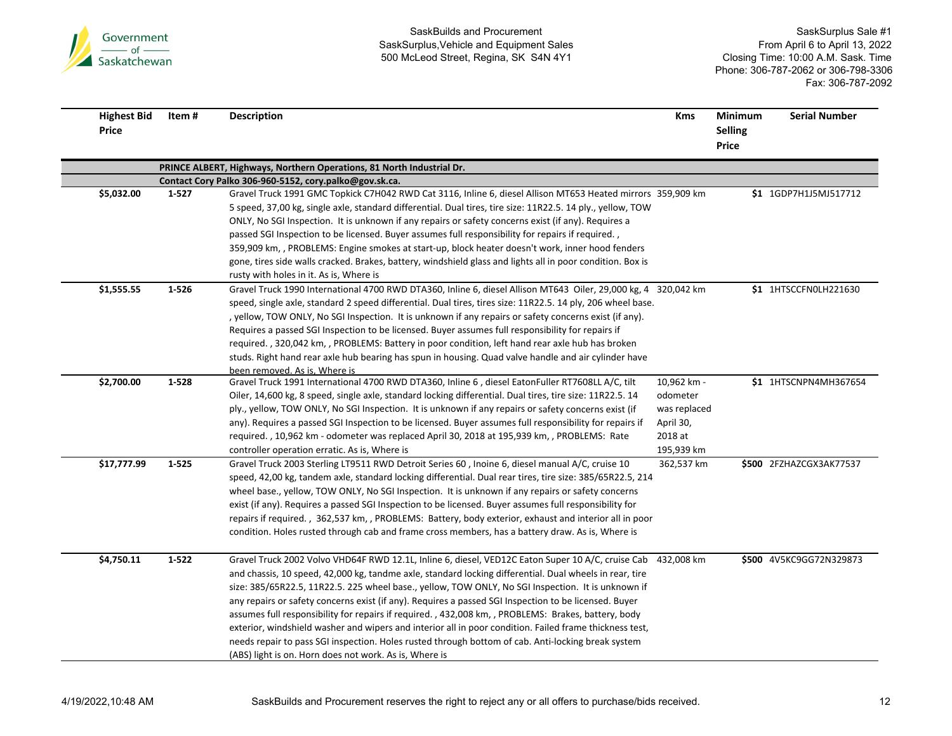

| <b>Highest Bid</b><br>Price | ltem #    | <b>Description</b>                                                                                                                                                                                                                                                                                                                                                                                                                                                                                                                                                                                                                                                                                                                                                                                                        | Kms                                                                           | Minimum<br><b>Selling</b><br>Price | <b>Serial Number</b>    |
|-----------------------------|-----------|---------------------------------------------------------------------------------------------------------------------------------------------------------------------------------------------------------------------------------------------------------------------------------------------------------------------------------------------------------------------------------------------------------------------------------------------------------------------------------------------------------------------------------------------------------------------------------------------------------------------------------------------------------------------------------------------------------------------------------------------------------------------------------------------------------------------------|-------------------------------------------------------------------------------|------------------------------------|-------------------------|
|                             |           | PRINCE ALBERT, Highways, Northern Operations, 81 North Industrial Dr.                                                                                                                                                                                                                                                                                                                                                                                                                                                                                                                                                                                                                                                                                                                                                     |                                                                               |                                    |                         |
|                             |           | Contact Cory Palko 306-960-5152, cory.palko@gov.sk.ca.                                                                                                                                                                                                                                                                                                                                                                                                                                                                                                                                                                                                                                                                                                                                                                    |                                                                               |                                    |                         |
| \$5,032.00                  | 1-527     | Gravel Truck 1991 GMC Topkick C7H042 RWD Cat 3116, Inline 6, diesel Allison MT653 Heated mirrors 359,909 km<br>5 speed, 37,00 kg, single axle, standard differential. Dual tires, tire size: 11R22.5. 14 ply., yellow, TOW<br>ONLY, No SGI Inspection. It is unknown if any repairs or safety concerns exist (if any). Requires a<br>passed SGI Inspection to be licensed. Buyer assumes full responsibility for repairs if required.,<br>359,909 km, , PROBLEMS: Engine smokes at start-up, block heater doesn't work, inner hood fenders<br>gone, tires side walls cracked. Brakes, battery, windshield glass and lights all in poor condition. Box is<br>rusty with holes in it. As is, Where is                                                                                                                       |                                                                               |                                    | \$1 1GDP7H1J5MJ517712   |
| \$1,555.55                  | $1 - 526$ | Gravel Truck 1990 International 4700 RWD DTA360, Inline 6, diesel Allison MT643 Oiler, 29,000 kg, 4 320,042 km<br>speed, single axle, standard 2 speed differential. Dual tires, tires size: 11R22.5. 14 ply, 206 wheel base.<br>, yellow, TOW ONLY, No SGI Inspection. It is unknown if any repairs or safety concerns exist (if any).<br>Requires a passed SGI Inspection to be licensed. Buyer assumes full responsibility for repairs if<br>required., 320,042 km,, PROBLEMS: Battery in poor condition, left hand rear axle hub has broken<br>studs. Right hand rear axle hub bearing has spun in housing. Quad valve handle and air cylinder have<br>been removed. As is, Where is                                                                                                                                  |                                                                               |                                    | \$1 1HTSCCFN0LH221630   |
| \$2,700.00                  | $1 - 528$ | Gravel Truck 1991 International 4700 RWD DTA360, Inline 6, diesel EatonFuller RT7608LL A/C, tilt<br>Oiler, 14,600 kg, 8 speed, single axle, standard locking differential. Dual tires, tire size: 11R22.5. 14<br>ply., yellow, TOW ONLY, No SGI Inspection. It is unknown if any repairs or safety concerns exist (if<br>any). Requires a passed SGI Inspection to be licensed. Buyer assumes full responsibility for repairs if<br>required., 10,962 km - odometer was replaced April 30, 2018 at 195,939 km,, PROBLEMS: Rate<br>controller operation erratic. As is, Where is                                                                                                                                                                                                                                           | 10,962 km -<br>odometer<br>was replaced<br>April 30,<br>2018 at<br>195,939 km |                                    | \$1 1HTSCNPN4MH367654   |
| \$17,777.99                 | $1 - 525$ | Gravel Truck 2003 Sterling LT9511 RWD Detroit Series 60, Inoine 6, diesel manual A/C, cruise 10<br>speed, 42,00 kg, tandem axle, standard locking differential. Dual rear tires, tire size: 385/65R22.5, 214<br>wheel base., yellow, TOW ONLY, No SGI Inspection. It is unknown if any repairs or safety concerns<br>exist (if any). Requires a passed SGI Inspection to be licensed. Buyer assumes full responsibility for<br>repairs if required., 362,537 km, , PROBLEMS: Battery, body exterior, exhaust and interior all in poor<br>condition. Holes rusted through cab and frame cross members, has a battery draw. As is, Where is                                                                                                                                                                                 | 362,537 km                                                                    |                                    | \$500 2FZHAZCGX3AK77537 |
| \$4,750.11                  | $1 - 522$ | Gravel Truck 2002 Volvo VHD64F RWD 12.1L, Inline 6, diesel, VED12C Eaton Super 10 A/C, cruise Cab 432,008 km<br>and chassis, 10 speed, 42,000 kg, tandme axle, standard locking differential. Dual wheels in rear, tire<br>size: 385/65R22.5, 11R22.5. 225 wheel base., yellow, TOW ONLY, No SGI Inspection. It is unknown if<br>any repairs or safety concerns exist (if any). Requires a passed SGI Inspection to be licensed. Buyer<br>assumes full responsibility for repairs if required. , 432,008 km, , PROBLEMS: Brakes, battery, body<br>exterior, windshield washer and wipers and interior all in poor condition. Failed frame thickness test,<br>needs repair to pass SGI inspection. Holes rusted through bottom of cab. Anti-locking break system<br>(ABS) light is on. Horn does not work. As is, Where is |                                                                               |                                    | \$500 4V5KC9GG72N329873 |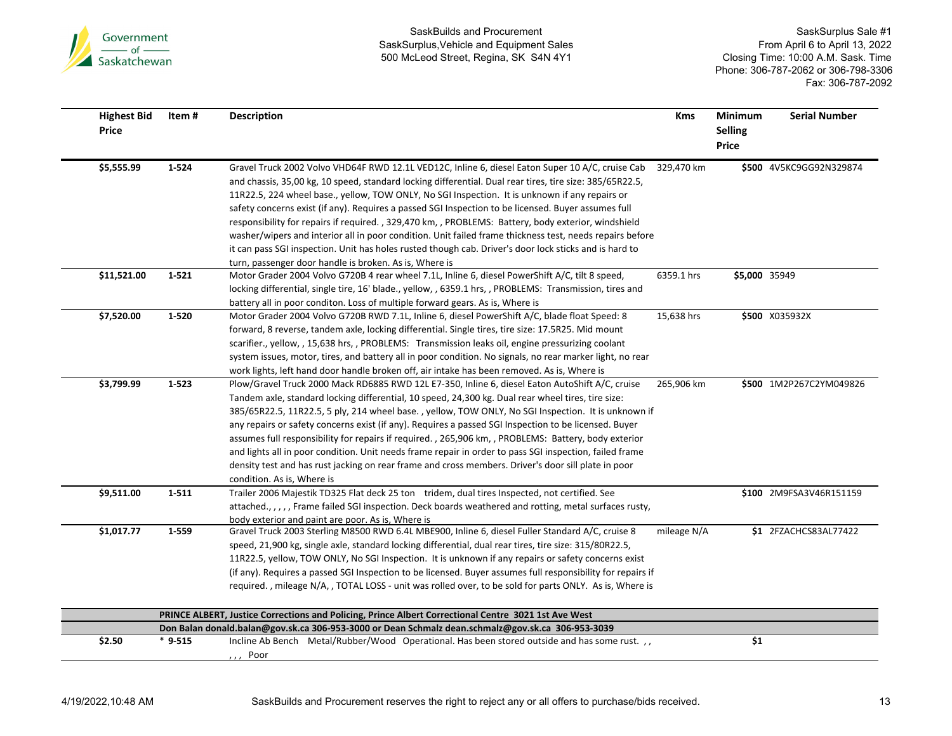

| <b>Highest Bid</b><br>Price | Item#     | <b>Description</b>                                                                                                                                                                                                                                                                                                                                                                                                                                                                                                                                                                                                                                                                                                                                                                                                     | <b>Kms</b>  | Minimum<br><b>Selling</b><br><b>Price</b> | <b>Serial Number</b>    |
|-----------------------------|-----------|------------------------------------------------------------------------------------------------------------------------------------------------------------------------------------------------------------------------------------------------------------------------------------------------------------------------------------------------------------------------------------------------------------------------------------------------------------------------------------------------------------------------------------------------------------------------------------------------------------------------------------------------------------------------------------------------------------------------------------------------------------------------------------------------------------------------|-------------|-------------------------------------------|-------------------------|
| \$5,555.99                  | 1-524     | Gravel Truck 2002 Volvo VHD64F RWD 12.1L VED12C, Inline 6, diesel Eaton Super 10 A/C, cruise Cab 329,470 km<br>and chassis, 35,00 kg, 10 speed, standard locking differential. Dual rear tires, tire size: 385/65R22.5,<br>11R22.5, 224 wheel base., yellow, TOW ONLY, No SGI Inspection. It is unknown if any repairs or<br>safety concerns exist (if any). Requires a passed SGI Inspection to be licensed. Buyer assumes full<br>responsibility for repairs if required., 329,470 km,, PROBLEMS: Battery, body exterior, windshield<br>washer/wipers and interior all in poor condition. Unit failed frame thickness test, needs repairs before<br>it can pass SGI inspection. Unit has holes rusted though cab. Driver's door lock sticks and is hard to<br>turn, passenger door handle is broken. As is, Where is |             |                                           | \$500 4V5KC9GG92N329874 |
| \$11,521.00                 | $1 - 521$ | Motor Grader 2004 Volvo G720B 4 rear wheel 7.1L, Inline 6, diesel PowerShift A/C, tilt 8 speed,<br>locking differential, single tire, 16' blade., yellow, , 6359.1 hrs, , PROBLEMS: Transmission, tires and<br>battery all in poor conditon. Loss of multiple forward gears. As is, Where is                                                                                                                                                                                                                                                                                                                                                                                                                                                                                                                           | 6359.1 hrs  | \$5,000 35949                             |                         |
| \$7,520.00                  | 1-520     | Motor Grader 2004 Volvo G720B RWD 7.1L, Inline 6, diesel PowerShift A/C, blade float Speed: 8<br>forward, 8 reverse, tandem axle, locking differential. Single tires, tire size: 17.5R25. Mid mount<br>scarifier., yellow, , 15,638 hrs, , PROBLEMS: Transmission leaks oil, engine pressurizing coolant<br>system issues, motor, tires, and battery all in poor condition. No signals, no rear marker light, no rear<br>work lights, left hand door handle broken off, air intake has been removed. As is, Where is                                                                                                                                                                                                                                                                                                   | 15,638 hrs  |                                           | \$500 X035932X          |
| \$3,799.99                  | 1-523     | Plow/Gravel Truck 2000 Mack RD6885 RWD 12L E7-350, Inline 6, diesel Eaton AutoShift A/C, cruise<br>Tandem axle, standard locking differential, 10 speed, 24,300 kg. Dual rear wheel tires, tire size:<br>385/65R22.5, 11R22.5, 5 ply, 214 wheel base., yellow, TOW ONLY, No SGI Inspection. It is unknown if<br>any repairs or safety concerns exist (if any). Requires a passed SGI Inspection to be licensed. Buyer<br>assumes full responsibility for repairs if required., 265,906 km,, PROBLEMS: Battery, body exterior<br>and lights all in poor condition. Unit needs frame repair in order to pass SGI inspection, failed frame<br>density test and has rust jacking on rear frame and cross members. Driver's door sill plate in poor<br>condition. As is, Where is                                           | 265,906 km  |                                           | \$500 1M2P267C2YM049826 |
| \$9,511.00                  | 1-511     | Trailer 2006 Majestik TD325 Flat deck 25 ton tridem, dual tires Inspected, not certified. See<br>attached.,,,,,Frame failed SGI inspection. Deck boards weathered and rotting, metal surfaces rusty,<br>body exterior and paint are poor. As is, Where is                                                                                                                                                                                                                                                                                                                                                                                                                                                                                                                                                              |             |                                           | \$100 2M9FSA3V46R151159 |
| \$1,017.77                  | 1-559     | Gravel Truck 2003 Sterling M8500 RWD 6.4L MBE900, Inline 6, diesel Fuller Standard A/C, cruise 8<br>speed, 21,900 kg, single axle, standard locking differential, dual rear tires, tire size: 315/80R22.5,<br>11R22.5, yellow, TOW ONLY, No SGI Inspection. It is unknown if any repairs or safety concerns exist<br>(if any). Requires a passed SGI Inspection to be licensed. Buyer assumes full responsibility for repairs if<br>required., mileage N/A,, TOTAL LOSS - unit was rolled over, to be sold for parts ONLY. As is, Where is                                                                                                                                                                                                                                                                             | mileage N/A |                                           | \$1 2FZACHCS83AL77422   |
|                             |           | PRINCE ALBERT, Justice Corrections and Policing, Prince Albert Correctional Centre 3021 1st Ave West                                                                                                                                                                                                                                                                                                                                                                                                                                                                                                                                                                                                                                                                                                                   |             |                                           |                         |
| \$2.50                      |           | Don Balan donald.balan@gov.sk.ca 306-953-3000 or Dean Schmalz dean.schmalz@gov.sk.ca 306-953-3039<br>Incline Ab Bench Metal/Rubber/Wood Operational. Has been stored outside and has some rust.,,                                                                                                                                                                                                                                                                                                                                                                                                                                                                                                                                                                                                                      |             | \$1                                       |                         |
|                             | $*9-515$  | ,,, Poor                                                                                                                                                                                                                                                                                                                                                                                                                                                                                                                                                                                                                                                                                                                                                                                                               |             |                                           |                         |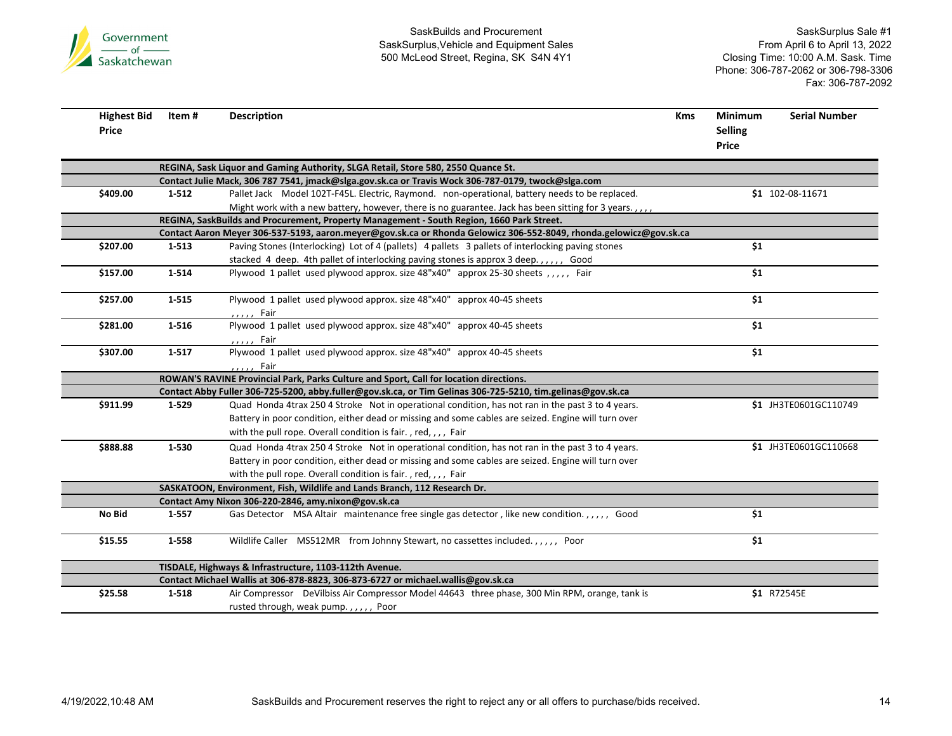

| <b>Highest Bid</b><br>Price | Item#     | <b>Description</b>                                                                                                 | <b>Kms</b> | <b>Minimum</b><br><b>Selling</b><br>Price | <b>Serial Number</b>  |
|-----------------------------|-----------|--------------------------------------------------------------------------------------------------------------------|------------|-------------------------------------------|-----------------------|
|                             |           | REGINA, Sask Liquor and Gaming Authority, SLGA Retail, Store 580, 2550 Quance St.                                  |            |                                           |                       |
|                             |           | Contact Julie Mack, 306 787 7541, jmack@slga.gov.sk.ca or Travis Wock 306-787-0179, twock@slga.com                 |            |                                           |                       |
| \$409.00                    | $1 - 512$ | Pallet Jack Model 102T-F45L. Electric, Raymond. non-operational, battery needs to be replaced.                     |            |                                           | \$1 102-08-11671      |
|                             |           | Might work with a new battery, however, there is no guarantee. Jack has been sitting for 3 years.,,,,              |            |                                           |                       |
|                             |           | REGINA, SaskBuilds and Procurement, Property Management - South Region, 1660 Park Street.                          |            |                                           |                       |
|                             |           | Contact Aaron Meyer 306-537-5193, aaron.meyer@gov.sk.ca or Rhonda Gelowicz 306-552-8049, rhonda.gelowicz@gov.sk.ca |            |                                           |                       |
| \$207.00                    | 1-513     | Paving Stones (Interlocking) Lot of 4 (pallets) 4 pallets 3 pallets of interlocking paving stones                  |            | \$1                                       |                       |
|                             |           | stacked 4 deep. 4th pallet of interlocking paving stones is approx 3 deep.,,,,,, Good                              |            |                                           |                       |
| \$157.00                    | 1-514     | Plywood 1 pallet used plywood approx. size 48"x40" approx 25-30 sheets , , , , , Fair                              |            | \$1                                       |                       |
| \$257.00                    | $1 - 515$ | Plywood 1 pallet used plywood approx. size 48"x40" approx 40-45 sheets                                             |            | \$1                                       |                       |
|                             |           | ,,,,, Fair                                                                                                         |            |                                           |                       |
| \$281.00                    | 1-516     | Plywood 1 pallet used plywood approx. size 48"x40" approx 40-45 sheets                                             |            | \$1                                       |                       |
|                             |           | ,,,,, Fair                                                                                                         |            |                                           |                       |
| \$307.00                    | $1 - 517$ | Plywood 1 pallet used plywood approx. size 48"x40" approx 40-45 sheets                                             |            | \$1                                       |                       |
|                             |           | ,,,,, Fair                                                                                                         |            |                                           |                       |
|                             |           | ROWAN'S RAVINE Provincial Park, Parks Culture and Sport, Call for location directions.                             |            |                                           |                       |
|                             |           | Contact Abby Fuller 306-725-5200, abby.fuller@gov.sk.ca, or Tim Gelinas 306-725-5210, tim.gelinas@gov.sk.ca        |            |                                           |                       |
| \$911.99                    | 1-529     | Quad Honda 4trax 250 4 Stroke Not in operational condition, has not ran in the past 3 to 4 years.                  |            |                                           | \$1 JH3TE0601GC110749 |
|                             |           | Battery in poor condition, either dead or missing and some cables are seized. Engine will turn over                |            |                                           |                       |
|                             |           | with the pull rope. Overall condition is fair., red,,,, Fair                                                       |            |                                           |                       |
| \$888.88                    | 1-530     | Quad Honda 4trax 250 4 Stroke Not in operational condition, has not ran in the past 3 to 4 years.                  |            |                                           | \$1 JH3TE0601GC110668 |
|                             |           | Battery in poor condition, either dead or missing and some cables are seized. Engine will turn over                |            |                                           |                       |
|                             |           | with the pull rope. Overall condition is fair., red,,,, Fair                                                       |            |                                           |                       |
|                             |           | SASKATOON, Environment, Fish, Wildlife and Lands Branch, 112 Research Dr.                                          |            |                                           |                       |
|                             |           | Contact Amy Nixon 306-220-2846, amy.nixon@gov.sk.ca                                                                |            |                                           |                       |
| No Bid                      | 1-557     | Gas Detector MSA Altair maintenance free single gas detector, like new condition.,,,,, Good                        |            | \$1                                       |                       |
| \$15.55                     | 1-558     | Wildlife Caller MS512MR from Johnny Stewart, no cassettes included.,,,,, Poor                                      |            | \$1                                       |                       |
|                             |           | TISDALE, Highways & Infrastructure, 1103-112th Avenue.                                                             |            |                                           |                       |
|                             |           | Contact Michael Wallis at 306-878-8823, 306-873-6727 or michael.wallis@gov.sk.ca                                   |            |                                           |                       |
| \$25.58                     | 1-518     | Air Compressor DeVilbiss Air Compressor Model 44643 three phase, 300 Min RPM, orange, tank is                      |            |                                           | \$1 R72545E           |
|                             |           | rusted through, weak pump.,,,,, Poor                                                                               |            |                                           |                       |